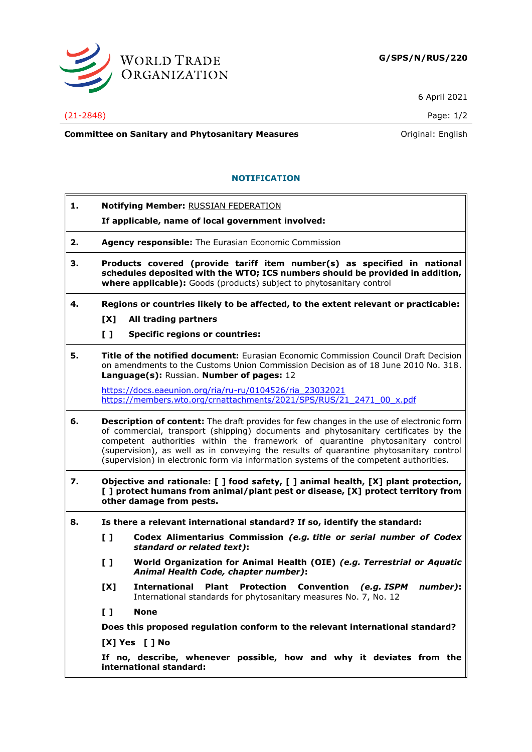

6 April 2021

(21-2848) Page: 1/2

**Committee on Sanitary and Phytosanitary Measures Committee on Sanitary and Phytosanitary Measures Committee And American** 

## **NOTIFICATION**

- **1. Notifying Member:** RUSSIAN FEDERATION
	- **If applicable, name of local government involved:**
- **2. Agency responsible:** The Eurasian Economic Commission
- **3. Products covered (provide tariff item number(s) as specified in national schedules deposited with the WTO; ICS numbers should be provided in addition, where applicable):** Goods (products) subject to phytosanitary control
- **4. Regions or countries likely to be affected, to the extent relevant or practicable: [X] All trading partners**
	-
	- **[ ] Specific regions or countries:**
- **5. Title of the notified document:** Eurasian Economic Commission Council Draft Decision on amendments to the Customs Union Commission Decision as of 18 June 2010 No. 318. **Language(s):** Russian. **Number of pages:** 12

[https://docs.eaeunion.org/ria/ru-ru/0104526/ria\\_23032021](https://docs.eaeunion.org/ria/ru-ru/0104526/ria_23032021) [https://members.wto.org/crnattachments/2021/SPS/RUS/21\\_2471\\_00\\_x.pdf](https://members.wto.org/crnattachments/2021/SPS/RUS/21_2471_00_x.pdf)

- **6. Description of content:** The draft provides for few changes in the use of electronic form of commercial, transport (shipping) documents and phytosanitary certificates by the competent authorities within the framework of quarantine phytosanitary control (supervision), as well as in conveying the results of quarantine phytosanitary control (supervision) in electronic form via information systems of the competent authorities.
- **7. Objective and rationale: [ ] food safety, [ ] animal health, [X] plant protection, [ ] protect humans from animal/plant pest or disease, [X] protect territory from other damage from pests.**
- **8. Is there a relevant international standard? If so, identify the standard:**
	- **[ ] Codex Alimentarius Commission** *(e.g. title or serial number of Codex standard or related text)***:**
	- **[ ] World Organization for Animal Health (OIE)** *(e.g. Terrestrial or Aquatic Animal Health Code, chapter number)***:**
	- **[X] International Plant Protection Convention** *(e.g. ISPM number)***:** International standards for phytosanitary measures No. 7, No. 12
	- **[ ] None**

**Does this proposed regulation conform to the relevant international standard?** 

**[X] Yes [ ] No**

**If no, describe, whenever possible, how and why it deviates from the international standard:**